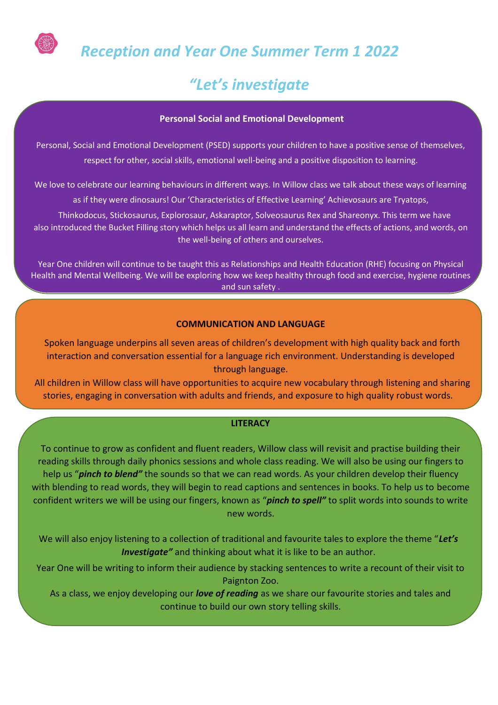

 *Reception and Year One Summer Term 1 2022* 

# *"Let's investigate*

# **Personal Social and Emotional Development**

Personal, Social and Emotional Development (PSED) supports your children to have a positive sense of themselves, respect for other, social skills, emotional well-being and a positive disposition to learning.

We love to celebrate our learning behaviours in different ways. In Willow class we talk about these ways of learning

as if they were dinosaurs! Our 'Characteristics of Effective Learning' Achievosaurs are Tryatops,

Thinkodocus, Stickosaurus, Explorosaur, Askaraptor, Solveosaurus Rex and Shareonyx. This term we have also introduced the Bucket Filling story which helps us all learn and understand the effects of actions, and words, on the well-being of others and ourselves.

Year One children will continue to be taught this as Relationships and Health Education (RHE) focusing on Physical Health and Mental Wellbeing. We will be exploring how we keep healthy through food and exercise, hygiene routines and sun safety .

## **COMMUNICATION AND LANGUAGE**

Spoken language underpins all seven areas of children's development with high quality back and forth interaction and conversation essential for a language rich environment. Understanding is developed through language.

All children in Willow class will have opportunities to acquire new vocabulary through listening and sharing stories, engaging in conversation with adults and friends, and exposure to high quality robust words.

## **LITERACY**

To continue to grow as confident and fluent readers, Willow class will revisit and practise building their reading skills through daily phonics sessions and whole class reading. We will also be using our fingers to help us "*pinch to blend"* the sounds so that we can read words. As your children develop their fluency with blending to read words, they will begin to read captions and sentences in books. To help us to become confident writers we will be using our fingers, known as "*pinch to spell"* to split words into sounds to write new words.

We will also enjoy listening to a collection of traditional and favourite tales to explore the theme "*Let's Investigate"* and thinking about what it is like to be an author.

Year One will be writing to inform their audience by stacking sentences to write a recount of their visit to Paignton Zoo.

As a class, we enjoy developing our *love of reading* as we share our favourite stories and tales and continue to build our own story telling skills.